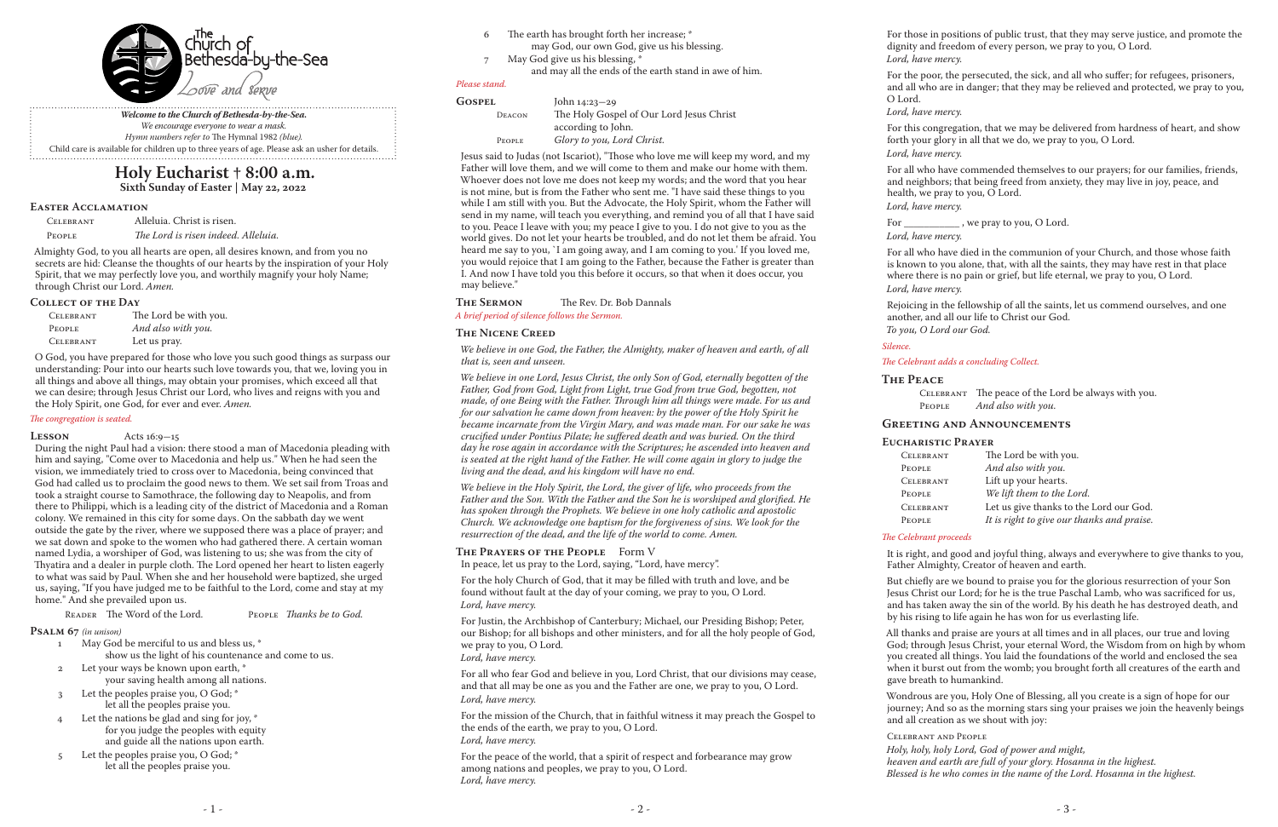- 6 The earth has brought forth her increase; \* may God, our own God, give us his blessing.
- 7 May God give us his blessing, \*

and may all the ends of the earth stand in awe of him.

# *Please stand.*

| <b>GOSPEL</b> | John $14:23-29$                          |
|---------------|------------------------------------------|
| DEACON        | The Holy Gospel of Our Lord Jesus Christ |
|               | according to John.                       |
| PEOPLE        | Glory to you, Lord Christ.               |

#### THE **SERMON** The Rev. Dr. Bob Dannals *A brief period of silence follows the Sermon.*

Jesus said to Judas (not Iscariot), "Those who love me will keep my word, and my Father will love them, and we will come to them and make our home with them. Whoever does not love me does not keep my words; and the word that you hear is not mine, but is from the Father who sent me. "I have said these things to you while I am still with you. But the Advocate, the Holy Spirit, whom the Father will send in my name, will teach you everything, and remind you of all that I have said to you. Peace I leave with you; my peace I give to you. I do not give to you as the world gives. Do not let your hearts be troubled, and do not let them be afraid. You heard me say to you, `I am going away, and I am coming to you.' If you loved me, you would rejoice that I am going to the Father, because the Father is greater than I. And now I have told you this before it occurs, so that when it does occur, you may believe."

# **The Nicene Creed**

*We believe in one God, the Father, the Almighty, maker of heaven and earth, of all that is, seen and unseen.*

*We believe in one Lord, Jesus Christ, the only Son of God, eternally begotten of the*  Father, God from God, Light from Light, true God from true God, begotten, not *made, of one Being with the Father. Through him all things were made. For us and for our salvation he came down from heaven: by the power of the Holy Spirit he became incarnate from the Virgin Mary, and was made man. For our sake he was crucified under Pontius Pilate; he suffered death and was buried. On the third day he rose again in accordance with the Scriptures; he ascended into heaven and is seated at the right hand of the Father. He will come again in glory to judge the living and the dead, and his kingdom will have no end.*

*We believe in the Holy Spirit, the Lord, the giver of life, who proceeds from the Father and the Son. With the Father and the Son he is worshiped and glorified. He has spoken through the Prophets. We believe in one holy catholic and apostolic Church. We acknowledge one baptism for the forgiveness of sins. We look for the resurrection of the dead, and the life of the world to come. Amen.*

#### THE PRAYERS OF THE PEOPLE Form V

In peace, let us pray to the Lord, saying, "Lord, have mercy".

For the holy Church of God, that it may be filled with truth and love, and be found without fault at the day of your coming, we pray to you, O Lord. *Lord, have mercy.*

For Justin, the Archbishop of Canterbury; Michael, our Presiding Bishop; Peter, our Bishop; for all bishops and other ministers, and for all the holy people of God, we pray to you, O Lord.

*Lord, have mercy.*

For all who fear God and believe in you, Lord Christ, that our divisions may cease, and that all may be one as you and the Father are one, we pray to you, O Lord. *Lord, have mercy.*

For the mission of the Church, that in faithful witness it may preach the Gospel to the ends of the earth, we pray to you, O Lord. *Lord, have mercy.*

For the peace of the world, that a spirit of respect and forbearance may grow among nations and peoples, we pray to you, O Lord. *Lord, have mercy.*

#### **Easter Acclamation**

Celebrant Alleluia. Christ is risen. People *The Lord is risen indeed. Alleluia.*

Almighty God, to you all hearts are open, all desires known, and from you no secrets are hid: Cleanse the thoughts of our hearts by the inspiration of your Holy Spirit, that we may perfectly love you, and worthily magnify your holy Name; through Christ our Lord. *Amen.*

> CELEBRAN People *And also with you.* CELEBRAN People *We lift them to the Lord.*

Celebrant People

#### **Collect of the Day**

| <b>CELEBRANT</b> | The Lord be with you. |
|------------------|-----------------------|
| <b>PEOPLE</b>    | And also with you.    |
| <b>CELEBRANT</b> | Let us pray.          |

O God, you have prepared for those who love you such good things as surpass our understanding: Pour into our hearts such love towards you, that we, loving you in all things and above all things, may obtain your promises, which exceed all that we can desire; through Jesus Christ our Lord, who lives and reigns with you and the Holy Spirit, one God, for ever and ever. *Amen.*

## *The congregation is seated.*

#### **Lesson** Acts 16:9-15

During the night Paul had a vision: there stood a man of Macedonia pleading with him and saying, "Come over to Macedonia and help us." When he had seen the vision, we immediately tried to cross over to Macedonia, being convinced that God had called us to proclaim the good news to them. We set sail from Troas and took a straight course to Samothrace, the following day to Neapolis, and from there to Philippi, which is a leading city of the district of Macedonia and a Roman colony. We remained in this city for some days. On the sabbath day we went outside the gate by the river, where we supposed there was a place of prayer; and we sat down and spoke to the women who had gathered there. A certain woman named Lydia, a worshiper of God, was listening to us; she was from the city of Thyatira and a dealer in purple cloth. The Lord opened her heart to listen eagerly to what was said by Paul. When she and her household were baptized, she urged us, saying, "If you have judged me to be faithful to the Lord, come and stay at my home." And she prevailed upon us.

|  | Reader | The Word of the Lord. |  |
|--|--------|-----------------------|--|
|--|--------|-----------------------|--|

PEOPLE Thanks be to God.

#### **Psalm 67** *(in unison)*

- 1 May God be merciful to us and bless us, \*
	- show us the light of his countenance and come to us.
- 2 Let your ways be known upon earth, \* your saving health among all nations.
- 3 Let the peoples praise you, O God; \* let all the peoples praise you.
- Let the nations be glad and sing for joy,  $*$ for you judge the peoples with equity and guide all the nations upon earth.
- 5 Let the peoples praise you, O God;  $*$ let all the peoples praise you.

# **Holy Eucharist † 8:00 a.m.**

**Sixth Sunday of Easter | May 22, 2022**

For those in positions of public trust, that they may serve justice, and promote the dignity and freedom of every person, we pray to you, O Lord.

*Lord, have mercy.*

For the poor, the persecuted, the sick, and all who suffer; for refugees, prisoners, and all who are in danger; that they may be relieved and protected, we pray to you,

For \_\_\_\_\_\_\_\_\_\_\_\_, we pray to you, O Lord.

O Lord. *Lord, have mercy.*

For this congregation, that we may be delivered from hardness of heart, and show forth your glory in all that we do, we pray to you, O Lord. *Lord, have mercy.*

For all who have commended themselves to our prayers; for our families, friends, and neighbors; that being freed from anxiety, they may live in joy, peace, and health, we pray to you, O Lord. *Lord, have mercy.*

*Lord, have mercy.*

For all who have died in the communion of your Church, and those whose faith is known to you alone, that, with all the saints, they may have rest in that place where there is no pain or grief, but life eternal, we pray to you, O Lord.

*Lord, have mercy.*

Rejoicing in the fellowship of all the saints, let us commend ourselves, and one another, and all our life to Christ our God.

*To you, O Lord our God.*

*Silence.*

*The Celebrant adds a concluding Collect.*

CELEBRANT The peace of the Lord be always with you.<br>PEOPLE And also with you. And also with you.

**The Peace**

### **Greeting and Announcements**

#### **Eucharistic Prayer**

| Celebrant | The Lord be with you.                      |
|-----------|--------------------------------------------|
| People    | And also with you.                         |
| Celebrant | Lift up your hearts.                       |
| People    | We lift them to the Lord.                  |
| Celebrant | Let us give thanks to the Lord our God.    |
| People    | It is right to give our thanks and praise. |
|           |                                            |

## *The Celebrant proceeds*

It is right, and good and joyful thing, always and everywhere to give thanks to you, Father Almighty, Creator of heaven and earth.

But chiefly are we bound to praise you for the glorious resurrection of your Son Jesus Christ our Lord; for he is the true Paschal Lamb, who was sacrificed for us, and has taken away the sin of the world. By his death he has destroyed death, and by his rising to life again he has won for us everlasting life.

All thanks and praise are yours at all times and in all places, our true and loving God; through Jesus Christ, your eternal Word, the Wisdom from on high by whom you created all things. You laid the foundations of the world and enclosed the sea when it burst out from the womb; you brought forth all creatures of the earth and gave breath to humankind.

Wondrous are you, Holy One of Blessing, all you create is a sign of hope for our journey; And so as the morning stars sing your praises we join the heavenly beings and all creation as we shout with joy:

Celebrant and People *Holy, holy, holy Lord, God of power and might, heaven and earth are full of your glory. Hosanna in the highest. Blessed is he who comes in the name of the Lord. Hosanna in the highest.*



### *Welcome to the Church of Bethesda-by-the-Sea. We encourage everyone to wear a mask. Hymn numbers refer to* The Hymnal 1982 *(blue).* Child care is available for children up to three years of age. Please ask an usher for details.